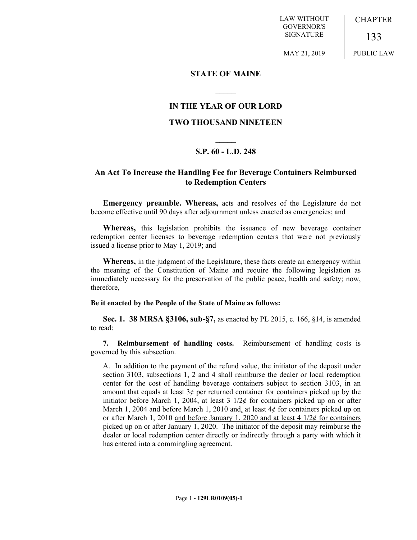LAW WITHOUT GOVERNOR'S SIGNATURE

MAY 21, 2019

CHAPTER

133 PUBLIC LAW

**STATE OF MAINE**

## **IN THE YEAR OF OUR LORD**

**\_\_\_\_\_**

## **TWO THOUSAND NINETEEN**

# **\_\_\_\_\_ S.P. 60 - L.D. 248**

## **An Act To Increase the Handling Fee for Beverage Containers Reimbursed to Redemption Centers**

**Emergency preamble. Whereas,** acts and resolves of the Legislature do not become effective until 90 days after adjournment unless enacted as emergencies; and

**Whereas,** this legislation prohibits the issuance of new beverage container redemption center licenses to beverage redemption centers that were not previously issued a license prior to May 1, 2019; and

**Whereas,** in the judgment of the Legislature, these facts create an emergency within the meaning of the Constitution of Maine and require the following legislation as immediately necessary for the preservation of the public peace, health and safety; now, therefore,

### **Be it enacted by the People of the State of Maine as follows:**

**Sec. 1. 38 MRSA §3106, sub-§7,** as enacted by PL 2015, c. 166, §14, is amended to read:

**7. Reimbursement of handling costs.** Reimbursement of handling costs is governed by this subsection.

A. In addition to the payment of the refund value, the initiator of the deposit under section 3103, subsections 1, 2 and 4 shall reimburse the dealer or local redemption center for the cost of handling beverage containers subject to section 3103, in an amount that equals at least  $3¢$  per returned container for containers picked up by the initiator before March 1, 2004, at least  $3 \frac{1}{2} \notin \mathbb{R}$  for containers picked up on or after March 1, 2004 and before March 1, 2010 and, at least  $4¢$  for containers picked up on or after March 1, 2010 and before January 1, 2020 and at least 4  $1/2¢$  for containers picked up on or after January 1, 2020. The initiator of the deposit may reimburse the dealer or local redemption center directly or indirectly through a party with which it has entered into a commingling agreement.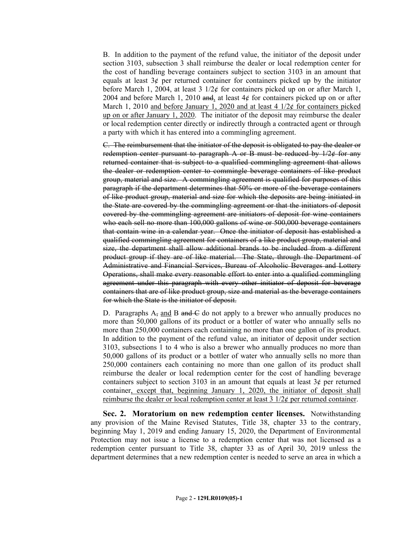B. In addition to the payment of the refund value, the initiator of the deposit under section 3103, subsection 3 shall reimburse the dealer or local redemption center for the cost of handling beverage containers subject to section 3103 in an amount that equals at least  $3¢$  per returned container for containers picked up by the initiator before March 1, 2004, at least 3  $1/2¢$  for containers picked up on or after March 1, 2004 and before March 1, 2010 and, at least  $4¢$  for containers picked up on or after March 1, 2010 and before January 1, 2020 and at least 4  $1/2¢$  for containers picked up on or after January 1, 2020. The initiator of the deposit may reimburse the dealer or local redemption center directly or indirectly through a contracted agent or through a party with which it has entered into a commingling agreement.

C. The reimbursement that the initiator of the deposit is obligated to pay the dealer or redemption center pursuant to paragraph A or B must be reduced by  $1/2$  $¢$  for any returned container that is subject to a qualified commingling agreement that allows the dealer or redemption center to commingle beverage containers of like product group, material and size. A commingling agreement is qualified for purposes of this paragraph if the department determines that 50% or more of the beverage containers of like product group, material and size for which the deposits are being initiated in the State are covered by the commingling agreement or that the initiators of deposit covered by the commingling agreement are initiators of deposit for wine containers who each sell no more than 100,000 gallons of wine or 500,000 beverage containers that contain wine in a calendar year. Once the initiator of deposit has established a qualified commingling agreement for containers of a like product group, material and size, the department shall allow additional brands to be included from a different product group if they are of like material. The State, through the Department of Administrative and Financial Services, Bureau of Alcoholic Beverages and Lottery Operations, shall make every reasonable effort to enter into a qualified commingling agreement under this paragraph with every other initiator of deposit for beverage containers that are of like product group, size and material as the beverage containers for which the State is the initiator of deposit.

D. Paragraphs  $A_5$  and B and C do not apply to a brewer who annually produces no more than 50,000 gallons of its product or a bottler of water who annually sells no more than 250,000 containers each containing no more than one gallon of its product. In addition to the payment of the refund value, an initiator of deposit under section 3103, subsections 1 to 4 who is also a brewer who annually produces no more than 50,000 gallons of its product or a bottler of water who annually sells no more than 250,000 containers each containing no more than one gallon of its product shall reimburse the dealer or local redemption center for the cost of handling beverage containers subject to section 3103 in an amount that equals at least  $3¢$  per returned container, except that, beginning January 1, 2020, the initiator of deposit shall reimburse the dealer or local redemption center at least  $3 \frac{1}{2} \notin \mathbb{R}$  per returned container.

**Sec. 2. Moratorium on new redemption center licenses.** Notwithstanding any provision of the Maine Revised Statutes, Title 38, chapter 33 to the contrary, beginning May 1, 2019 and ending January 15, 2020, the Department of Environmental Protection may not issue a license to a redemption center that was not licensed as a redemption center pursuant to Title 38, chapter 33 as of April 30, 2019 unless the department determines that a new redemption center is needed to serve an area in which a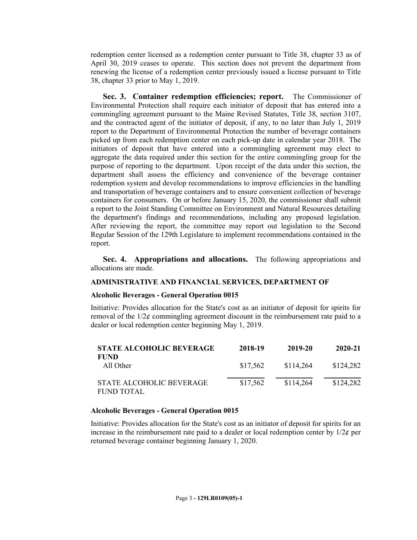redemption center licensed as a redemption center pursuant to Title 38, chapter 33 as of April 30, 2019 ceases to operate. This section does not prevent the department from renewing the license of a redemption center previously issued a license pursuant to Title 38, chapter 33 prior to May 1, 2019.

**Sec. 3. Container redemption efficiencies; report.** The Commissioner of Environmental Protection shall require each initiator of deposit that has entered into a commingling agreement pursuant to the Maine Revised Statutes, Title 38, section 3107, and the contracted agent of the initiator of deposit, if any, to no later than July 1, 2019 report to the Department of Environmental Protection the number of beverage containers picked up from each redemption center on each pick-up date in calendar year 2018. The initiators of deposit that have entered into a commingling agreement may elect to aggregate the data required under this section for the entire commingling group for the purpose of reporting to the department. Upon receipt of the data under this section, the department shall assess the efficiency and convenience of the beverage container redemption system and develop recommendations to improve efficiencies in the handling and transportation of beverage containers and to ensure convenient collection of beverage containers for consumers. On or before January 15, 2020, the commissioner shall submit a report to the Joint Standing Committee on Environment and Natural Resources detailing the department's findings and recommendations, including any proposed legislation. After reviewing the report, the committee may report out legislation to the Second Regular Session of the 129th Legislature to implement recommendations contained in the report.

**Sec. 4. Appropriations and allocations.** The following appropriations and allocations are made.

### **ADMINISTRATIVE AND FINANCIAL SERVICES, DEPARTMENT OF**

#### **Alcoholic Beverages - General Operation 0015**

Initiative: Provides allocation for the State's cost as an initiator of deposit for spirits for removal of the 1/2¢ commingling agreement discount in the reimbursement rate paid to a dealer or local redemption center beginning May 1, 2019.

| <b>STATE ALCOHOLIC BEVERAGE</b>               | 2018-19  | 2019-20   | 2020-21   |
|-----------------------------------------------|----------|-----------|-----------|
| <b>FUND</b><br>All Other                      | \$17.562 | \$114.264 | \$124,282 |
| STATE ALCOHOLIC BEVERAGE<br><b>FUND TOTAL</b> | \$17,562 | \$114,264 | \$124,282 |

### **Alcoholic Beverages - General Operation 0015**

Initiative: Provides allocation for the State's cost as an initiator of deposit for spirits for an increase in the reimbursement rate paid to a dealer or local redemption center by  $1/2\ell$  per returned beverage container beginning January 1, 2020.